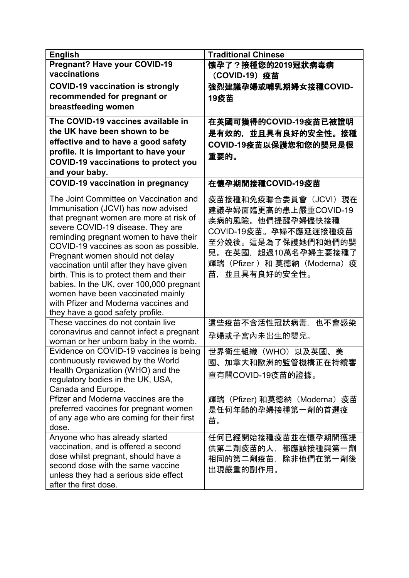| <b>English</b>                                                                                                           | <b>Traditional Chinese</b>                                          |
|--------------------------------------------------------------------------------------------------------------------------|---------------------------------------------------------------------|
| <b>Pregnant? Have your COVID-19</b>                                                                                      | 懷孕了?接種您的2019冠狀病毒病                                                   |
| vaccinations                                                                                                             | (COVID-19) 疫苗                                                       |
| <b>COVID-19 vaccination is strongly</b>                                                                                  | 強烈建議孕婦或哺乳期婦女接種COVID-                                                |
| recommended for pregnant or                                                                                              | 19疫苗                                                                |
| breastfeeding women                                                                                                      |                                                                     |
| The COVID-19 vaccines available in                                                                                       | 在英國可獲得的COVID-19疫苗已被證明                                               |
| the UK have been shown to be                                                                                             |                                                                     |
| effective and to have a good safety                                                                                      | 是有效的,並且具有良好的安全性。接種                                                  |
| profile. It is important to have your                                                                                    | COVID-19疫苗以保護您和您的嬰兒是很                                               |
| <b>COVID-19 vaccinations to protect you</b>                                                                              | 重要的。                                                                |
| and your baby.                                                                                                           |                                                                     |
| <b>COVID-19 vaccination in pregnancy</b>                                                                                 | 在懷孕期間接種COVID-19疫苗                                                   |
|                                                                                                                          |                                                                     |
| The Joint Committee on Vaccination and<br>Immunisation (JCVI) has now advised<br>that pregnant women are more at risk of | 疫苗接種和免疫聯合委員會 (JCVI) 現在<br>建議孕婦面臨更高的患上嚴重COVID-19<br>疾病的風險。他們提醒孕婦儘快接種 |
| severe COVID-19 disease. They are<br>reminding pregnant women to have their                                              | COVID-19疫苗。孕婦不應延遲接種疫苗                                               |
| COVID-19 vaccines as soon as possible.                                                                                   | 至分娩後。這是為了保護她們和她們的嬰                                                  |
| Pregnant women should not delay                                                                                          | 兒。在英國,超過10萬名孕婦主要接種了                                                 |
| vaccination until after they have given                                                                                  | 輝瑞(Pfizer) 和 莫德納(Moderna)疫                                          |
| birth. This is to protect them and their                                                                                 | 苗.<br>並且具有良好的安全性。                                                   |
| babies. In the UK, over 100,000 pregnant                                                                                 |                                                                     |
| women have been vaccinated mainly                                                                                        |                                                                     |
| with Pfizer and Moderna vaccines and                                                                                     |                                                                     |
| they have a good safety profile.<br>These vaccines do not contain live                                                   | 這些疫苗不含活性冠狀病毒,也不會感染                                                  |
| coronavirus and cannot infect a pregnant                                                                                 |                                                                     |
| woman or her unborn baby in the womb.                                                                                    | 孕婦或子宮內未出生的嬰兒。                                                       |
| Evidence on COVID-19 vaccines is being                                                                                   | 世界衛生組織 (WHO) 以及英國、美                                                 |
| continuously reviewed by the World                                                                                       | 國、加拿大和歐洲的監管機構正在持續審                                                  |
| Health Organization (WHO) and the                                                                                        | 查有關COVID-19疫苗的證據。                                                   |
| regulatory bodies in the UK, USA,                                                                                        |                                                                     |
| Canada and Europe.                                                                                                       |                                                                     |
| Pfizer and Moderna vaccines are the                                                                                      | 輝瑞(Pfizer) 和莫德納(Moderna)疫苗                                          |
| preferred vaccines for pregnant women<br>of any age who are coming for their first                                       | 是任何年齡的孕婦接種第一劑的首選疫                                                   |
| dose.                                                                                                                    | 苗。                                                                  |
| Anyone who has already started                                                                                           | 任何已經開始接種疫苗並在懷孕期間獲提                                                  |
| vaccination, and is offered a second                                                                                     | 供第二劑疫苗的人,都應該接種與第一劑                                                  |
| dose whilst pregnant, should have a                                                                                      | 相同的第二劑疫苗,<br>除非他們在第一劑後                                              |
| second dose with the same vaccine                                                                                        | 出現嚴重的副作用。                                                           |
| unless they had a serious side effect                                                                                    |                                                                     |
| after the first dose.                                                                                                    |                                                                     |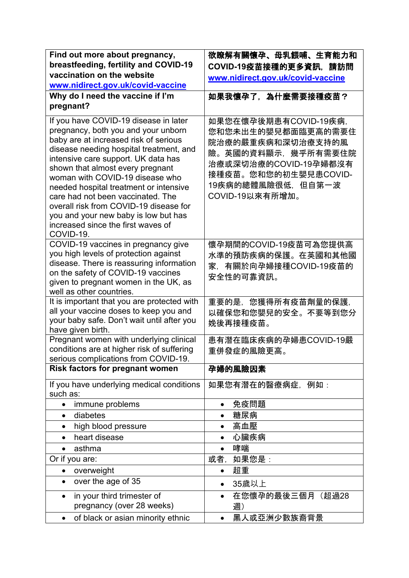| Find out more about pregnancy,                                                                                                                                                                                                                                                                                                                                                                                                                                                                     | 欲瞭解有關懷孕、母乳餵哺、生育能力和                                                                                                                                                              |
|----------------------------------------------------------------------------------------------------------------------------------------------------------------------------------------------------------------------------------------------------------------------------------------------------------------------------------------------------------------------------------------------------------------------------------------------------------------------------------------------------|---------------------------------------------------------------------------------------------------------------------------------------------------------------------------------|
| breastfeeding, fertility and COVID-19                                                                                                                                                                                                                                                                                                                                                                                                                                                              | COVID-19疫苗接種的更多資訊, 請訪問                                                                                                                                                          |
| vaccination on the website                                                                                                                                                                                                                                                                                                                                                                                                                                                                         | www.nidirect.gov.uk/covid-vaccine                                                                                                                                               |
| www.nidirect.gov.uk/covid-vaccine                                                                                                                                                                                                                                                                                                                                                                                                                                                                  |                                                                                                                                                                                 |
| Why do I need the vaccine if I'm                                                                                                                                                                                                                                                                                                                                                                                                                                                                   | 如果我懷孕了,為什麼需要接種疫苗?                                                                                                                                                               |
| pregnant?                                                                                                                                                                                                                                                                                                                                                                                                                                                                                          |                                                                                                                                                                                 |
| If you have COVID-19 disease in later<br>pregnancy, both you and your unborn<br>baby are at increased risk of serious<br>disease needing hospital treatment, and<br>intensive care support. UK data has<br>shown that almost every pregnant<br>woman with COVID-19 disease who<br>needed hospital treatment or intensive<br>care had not been vaccinated. The<br>overall risk from COVID-19 disease for<br>you and your new baby is low but has<br>increased since the first waves of<br>COVID-19. | 如果您在懷孕後期患有COVID-19疾病,<br>您和您未出生的嬰兒都面臨更高的需要住<br>院治療的嚴重疾病和深切治療支持的風<br>險。英國的資料顯示,幾乎所有需要住院<br>治療或深切治療的COVID-19孕婦都沒有<br>接種疫苗。您和您的初生嬰兒患COVID-<br>19疾病的總體風險很低,但自第一波<br>COVID-19以來有所增加。 |
| COVID-19 vaccines in pregnancy give<br>you high levels of protection against<br>disease. There is reassuring information<br>on the safety of COVID-19 vaccines<br>given to pregnant women in the UK, as<br>well as other countries.                                                                                                                                                                                                                                                                | 懷孕期間的COVID-19疫苗可為您提供高<br>水準的預防疾病的保護。在英國和其他國<br>家,有關於向孕婦接種COVID-19疫苗的<br>安全性的可靠資訊。                                                                                               |
| It is important that you are protected with                                                                                                                                                                                                                                                                                                                                                                                                                                                        | 重要的是,您獲得所有疫苗劑量的保護,                                                                                                                                                              |
| all your vaccine doses to keep you and<br>your baby safe. Don't wait until after you<br>have given birth.                                                                                                                                                                                                                                                                                                                                                                                          | 以確保您和您嬰兒的安全。不要等到您分<br>娩後再接種疫苗。                                                                                                                                                  |
| Pregnant women with underlying clinical                                                                                                                                                                                                                                                                                                                                                                                                                                                            | 患有潛在臨床疾病的孕婦患COVID-19嚴                                                                                                                                                           |
| conditions are at higher risk of suffering                                                                                                                                                                                                                                                                                                                                                                                                                                                         | 重併發症的風險更高。                                                                                                                                                                      |
| serious complications from COVID-19.                                                                                                                                                                                                                                                                                                                                                                                                                                                               |                                                                                                                                                                                 |
| <b>Risk factors for pregnant women</b>                                                                                                                                                                                                                                                                                                                                                                                                                                                             | 孕婦的風險因素                                                                                                                                                                         |
| If you have underlying medical conditions<br>such as:                                                                                                                                                                                                                                                                                                                                                                                                                                              | 如果您有潛在的醫療病症, 例如:                                                                                                                                                                |
| immune problems<br>$\bullet$                                                                                                                                                                                                                                                                                                                                                                                                                                                                       | 免疫問題<br>$\bullet$                                                                                                                                                               |
| diabetes<br>$\bullet$                                                                                                                                                                                                                                                                                                                                                                                                                                                                              | 糖尿病                                                                                                                                                                             |
| high blood pressure<br>$\bullet$                                                                                                                                                                                                                                                                                                                                                                                                                                                                   | 高血壓<br>$\bullet$                                                                                                                                                                |
| heart disease<br>$\bullet$                                                                                                                                                                                                                                                                                                                                                                                                                                                                         | 心臟疾病<br>$\bullet$                                                                                                                                                               |
| asthma<br>$\bullet$                                                                                                                                                                                                                                                                                                                                                                                                                                                                                | 哮喘<br>$\bullet$                                                                                                                                                                 |
| Or if you are:                                                                                                                                                                                                                                                                                                                                                                                                                                                                                     | 或者,<br>如果您是:                                                                                                                                                                    |
| overweight<br>$\bullet$                                                                                                                                                                                                                                                                                                                                                                                                                                                                            | 超重<br>$\bullet$                                                                                                                                                                 |
| over the age of 35<br>$\bullet$                                                                                                                                                                                                                                                                                                                                                                                                                                                                    | 35歲以上<br>$\bullet$                                                                                                                                                              |
| in your third trimester of<br>$\bullet$                                                                                                                                                                                                                                                                                                                                                                                                                                                            | 在您懷孕的最後三個月 (超過28<br>$\bullet$                                                                                                                                                   |
| pregnancy (over 28 weeks)                                                                                                                                                                                                                                                                                                                                                                                                                                                                          | 週)                                                                                                                                                                              |
| of black or asian minority ethnic<br>٠                                                                                                                                                                                                                                                                                                                                                                                                                                                             | 黑人或亞洲少數族裔背景<br>$\bullet$                                                                                                                                                        |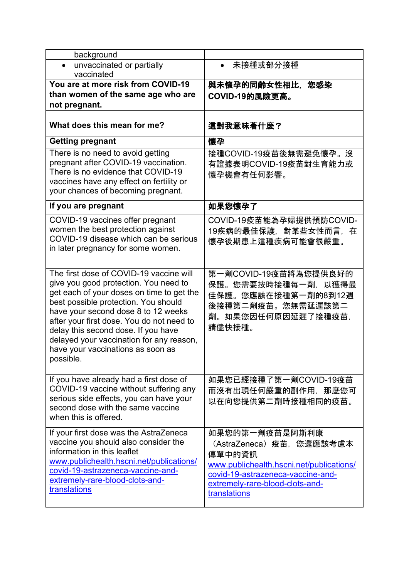| background                                                                                                                                                                                                                                                                                                                                                                                     |                                                                                                                                                                                          |
|------------------------------------------------------------------------------------------------------------------------------------------------------------------------------------------------------------------------------------------------------------------------------------------------------------------------------------------------------------------------------------------------|------------------------------------------------------------------------------------------------------------------------------------------------------------------------------------------|
| unvaccinated or partially<br>vaccinated                                                                                                                                                                                                                                                                                                                                                        | 未接種或部分接種                                                                                                                                                                                 |
| You are at more risk from COVID-19                                                                                                                                                                                                                                                                                                                                                             | 與未懷孕的同齡女性相比,您感染                                                                                                                                                                          |
| than women of the same age who are                                                                                                                                                                                                                                                                                                                                                             | COVID-19的風險更高。                                                                                                                                                                           |
| not pregnant.                                                                                                                                                                                                                                                                                                                                                                                  |                                                                                                                                                                                          |
|                                                                                                                                                                                                                                                                                                                                                                                                |                                                                                                                                                                                          |
| What does this mean for me?                                                                                                                                                                                                                                                                                                                                                                    | 這對我意味著什麼?                                                                                                                                                                                |
| <b>Getting pregnant</b>                                                                                                                                                                                                                                                                                                                                                                        | 懷孕                                                                                                                                                                                       |
| There is no need to avoid getting<br>pregnant after COVID-19 vaccination.<br>There is no evidence that COVID-19<br>vaccines have any effect on fertility or<br>your chances of becoming pregnant.                                                                                                                                                                                              | 接種COVID-19疫苗後無需避免懷孕。沒<br>有證據表明COVID-19疫苗對生育能力或<br>懷孕機會有任何影響。                                                                                                                             |
| If you are pregnant                                                                                                                                                                                                                                                                                                                                                                            | 如果您懷孕了                                                                                                                                                                                   |
| COVID-19 vaccines offer pregnant<br>women the best protection against<br>COVID-19 disease which can be serious<br>in later pregnancy for some women.                                                                                                                                                                                                                                           | COVID-19疫苗能為孕婦提供預防COVID-<br>19疾病的最佳保護,對某些女性而言,在<br>懷孕後期患上這種疾病可能會很嚴重。                                                                                                                     |
| The first dose of COVID-19 vaccine will<br>give you good protection. You need to<br>get each of your doses on time to get the<br>best possible protection. You should<br>have your second dose 8 to 12 weeks<br>after your first dose. You do not need to<br>delay this second dose. If you have<br>delayed your vaccination for any reason,<br>have your vaccinations as soon as<br>possible. | 第一劑COVID-19疫苗將為您提供良好的<br>保護。您需要按時接種每一劑,以獲得最<br>佳保護。您應該在接種第一劑的8到12週<br>後接種第二劑疫苗。您無需延遲該第二<br>劑。如果您因任何原因延遲了接種疫苗,<br>請儘快接種。                                                                  |
| If you have already had a first dose of<br>COVID-19 vaccine without suffering any<br>serious side effects, you can have your<br>second dose with the same vaccine<br>when this is offered.                                                                                                                                                                                                     | 如果您已經接種了第一劑COVID-19疫苗<br>而沒有出現任何嚴重的副作用,那麼您可<br>以在向您提供第二劑時接種相同的疫苗。                                                                                                                        |
| If your first dose was the AstraZeneca<br>vaccine you should also consider the<br>information in this leaflet<br>www.publichealth.hscni.net/publications/<br>covid-19-astrazeneca-vaccine-and-<br>extremely-rare-blood-clots-and-<br>translations                                                                                                                                              | 如果您的第一劑疫苗是阿斯利康<br>(AstraZeneca) 疫苗,您還應該考慮本<br>傳單中的資訊<br>www.publichealth.hscni.net/publications/<br>covid-19-astrazeneca-vaccine-and-<br>extremely-rare-blood-clots-and-<br>translations |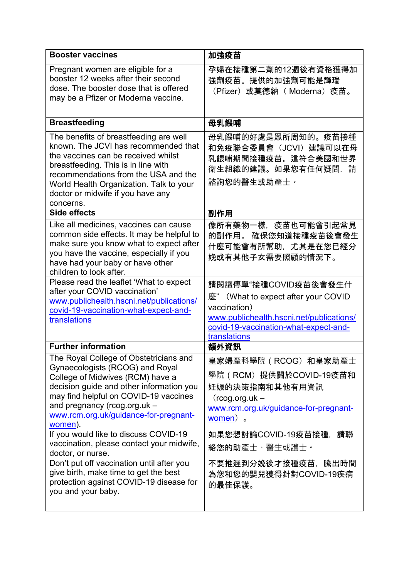| <b>Booster vaccines</b>                                                                                                                                                                                                                                                                           | 加強疫苗                                                                                                                                                                             |
|---------------------------------------------------------------------------------------------------------------------------------------------------------------------------------------------------------------------------------------------------------------------------------------------------|----------------------------------------------------------------------------------------------------------------------------------------------------------------------------------|
| Pregnant women are eligible for a<br>booster 12 weeks after their second<br>dose. The booster dose that is offered<br>may be a Pfizer or Moderna vaccine.                                                                                                                                         | 孕婦在接種第二劑的12週後有資格獲得加<br>強劑疫苗。提供的加強劑可能是輝瑞<br>(Pfizer) 或莫德納 (Moderna) 疫苗。                                                                                                           |
| <b>Breastfeeding</b>                                                                                                                                                                                                                                                                              | 母乳餵哺                                                                                                                                                                             |
| The benefits of breastfeeding are well<br>known. The JCVI has recommended that<br>the vaccines can be received whilst<br>breastfeeding. This is in line with<br>recommendations from the USA and the<br>World Health Organization. Talk to your<br>doctor or midwife if you have any<br>concerns. | 母乳餵哺的好處是眾所周知的。疫苗接種<br>和免疫聯合委員會 (JCVI) 建議可以在母<br>乳餵哺期間接種疫苗。這符合美國和世界<br>衛生組織的建議。如果您有任何疑問,請<br>諮詢您的醫生或助產士。                                                                          |
| Side effects                                                                                                                                                                                                                                                                                      | 副作用                                                                                                                                                                              |
| Like all medicines, vaccines can cause<br>common side effects. It may be helpful to<br>make sure you know what to expect after<br>you have the vaccine, especially if you<br>have had your baby or have other<br>children to look after.                                                          | 像所有藥物一樣,疫苗也可能會引起常見<br>的副作用。 確保您知道接種疫苗後會發生<br>什麼可能會有所幫助,尤其是在您已經分<br>娩或有其他子女需要照顧的情況下。                                                                                              |
| Please read the leaflet 'What to expect<br>after your COVID vaccination'<br>www.publichealth.hscni.net/publications/<br>covid-19-vaccination-what-expect-and-<br>translations                                                                                                                     | 請閱讀傳單"接種COVID疫苗後會發生什<br>麼" (What to expect after your COVID<br>vaccination)<br>www.publichealth.hscni.net/publications/<br>covid-19-vaccination-what-expect-and-<br>translations |
| <b>Further information</b>                                                                                                                                                                                                                                                                        | 額外資訊                                                                                                                                                                             |
| The Royal College of Obstetricians and<br>Gynaecologists (RCOG) and Royal<br>College of Midwives (RCM) have a<br>decision guide and other information you<br>may find helpful on COVID-19 vaccines<br>and pregnancy (rcog.org.uk -<br>www.rcm.org.uk/guidance-for-pregnant-<br>women).            | 皇家婦產科學院 (RCOG) 和皇家助產士<br>學院 (RCM) 提供關於COVID-19疫苗和<br>妊娠的決策指南和其他有用資訊<br>$($ rcog.org.uk –<br>www.rcm.org.uk/guidance-for-pregnant-<br>women).                                     |
| If you would like to discuss COVID-19<br>vaccination, please contact your midwife,<br>doctor, or nurse.                                                                                                                                                                                           | 如果您想討論COVID-19疫苗接種,請聯<br>絡您的助產士、醫生或護士。                                                                                                                                           |
| Don't put off vaccination until after you<br>give birth, make time to get the best<br>protection against COVID-19 disease for<br>you and your baby.                                                                                                                                               | 不要推遲到分娩後才接種疫苗,騰出時間<br>為您和您的嬰兒獲得針對COVID-19疾病<br>的最佳保護。                                                                                                                            |